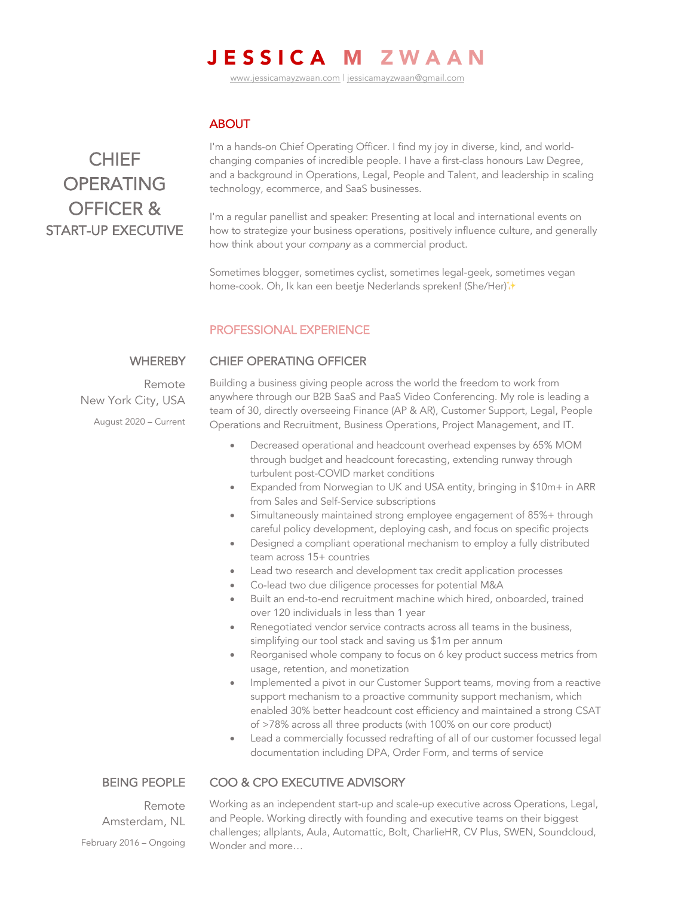# JESSICA M ZWAAN

www.jessicamayzwaan.com | jessicamayzwaan@gmail.com

# **ABOUT**

# **CHIEF OPERATING** OFFICER & START-UP EXECUTIVE

I'm a hands-on Chief Operating Officer. I find my joy in diverse, kind, and worldchanging companies of incredible people. I have a first-class honours Law Degree, and a background in Operations, Legal, People and Talent, and leadership in scaling technology, ecommerce, and SaaS businesses.

I'm a regular panellist and speaker: Presenting at local and international events on how to strategize your business operations, positively influence culture, and generally how think about your *company* as a commercial product.

Sometimes blogger, sometimes cyclist, sometimes legal-geek, sometimes vegan home-cook. Oh, Ik kan een beetje Nederlands spreken! (She/Her)<sup>†</sup>↑

## PROFESSIONAL EXPERIENCE

CHIEF OPERATING OFFICER

#### **WHEREBY**

Remote New York City, USA August 2020 – Current Building a business giving people across the world the freedom to work from anywhere through our B2B SaaS and PaaS Video Conferencing. My role is leading a team of 30, directly overseeing Finance (AP & AR), Customer Support, Legal, People Operations and Recruitment, Business Operations, Project Management, and IT.

- Decreased operational and headcount overhead expenses by 65% MOM through budget and headcount forecasting, extending runway through turbulent post-COVID market conditions
- Expanded from Norwegian to UK and USA entity, bringing in \$10m+ in ARR from Sales and Self-Service subscriptions
- Simultaneously maintained strong employee engagement of 85%+ through careful policy development, deploying cash, and focus on specific projects
- Designed a compliant operational mechanism to employ a fully distributed team across 15+ countries
- Lead two research and development tax credit application processes
- Co-lead two due diligence processes for potential M&A
- Built an end-to-end recruitment machine which hired, onboarded, trained over 120 individuals in less than 1 year
- Renegotiated vendor service contracts across all teams in the business, simplifying our tool stack and saving us \$1m per annum
- Reorganised whole company to focus on 6 key product success metrics from usage, retention, and monetization
- Implemented a pivot in our Customer Support teams, moving from a reactive support mechanism to a proactive community support mechanism, which enabled 30% better headcount cost efficiency and maintained a strong CSAT of >78% across all three products (with 100% on our core product)
- Lead a commercially focussed redrafting of all of our customer focussed legal documentation including DPA, Order Form, and terms of service

#### BEING PEOPLE

### COO & CPO EXECUTIVE ADVISORY

Remote Amsterdam, NL February 2016 – Ongoing

Working as an independent start-up and scale-up executive across Operations, Legal, and People. Working directly with founding and executive teams on their biggest challenges; allplants, Aula, Automattic, Bolt, CharlieHR, CV Plus, SWEN, Soundcloud, Wonder and more…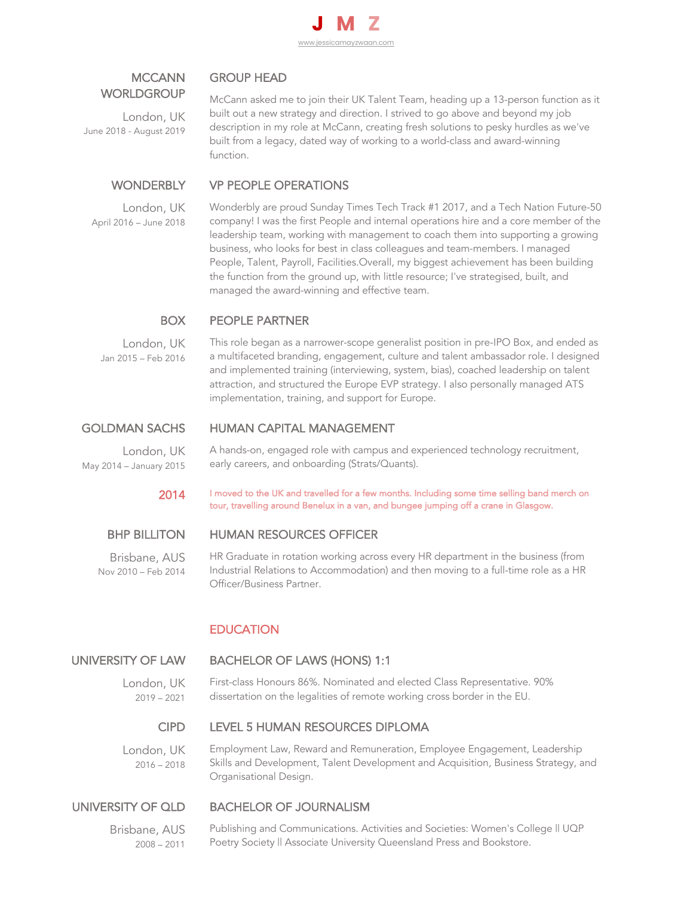

# MCCANN **WORLDGROUP**

London, UK June 2018 - August 2019

# GROUP HEAD

McCann asked me to join their UK Talent Team, heading up a 13-person function as it built out a new strategy and direction. I strived to go above and beyond my job description in my role at McCann, creating fresh solutions to pesky hurdles as we've built from a legacy, dated way of working to a world-class and award-winning function.

#### **WONDERBLY** VP PEOPLE OPERATIONS

London, UK April 2016 – June 2018 Wonderbly are proud Sunday Times Tech Track #1 2017, and a Tech Nation Future-50 company! I was the first People and internal operations hire and a core member of the leadership team, working with management to coach them into supporting a growing business, who looks for best in class colleagues and team-members. I managed People, Talent, Payroll, Facilities.Overall, my biggest achievement has been building the function from the ground up, with little resource; I've strategised, built, and managed the award-winning and effective team.

#### BOX PEOPLE PARTNER

London, UK Jan 2015 – Feb 2016 This role began as a narrower-scope generalist position in pre-IPO Box, and ended as a multifaceted branding, engagement, culture and talent ambassador role. I designed and implemented training (interviewing, system, bias), coached leadership on talent attraction, and structured the Europe EVP strategy. I also personally managed ATS implementation, training, and support for Europe.

# GOLDMAN SACHS

London, UK May 2014 – January 2015 A hands-on, engaged role with campus and experienced technology recruitment, early careers, and onboarding (Strats/Quants).

2014 I moved to the UK and travelled for a few months. Including some time selling band merch on tour, travelling around Benelux in a van, and bungee jumping off a crane in Glasgow.

# BHP BILLITON

Brisbane, AUS Nov 2010 – Feb 2014

# HUMAN RESOURCES OFFICER

HUMAN CAPITAL MANAGEMENT

HR Graduate in rotation working across every HR department in the business (from Industrial Relations to Accommodation) and then moving to a full-time role as a HR Officer/Business Partner.

# **EDUCATION**

### UNIVERSITY OF LAW

## BACHELOR OF LAWS (HONS) 1:1

London, UK 2019 – 2021 First-class Honours 86%. Nominated and elected Class Representative. 90% dissertation on the legalities of remote working cross border in the EU.

### CIPD

### LEVEL 5 HUMAN RESOURCES DIPLOMA

London, UK 2016 – 2018 Employment Law, Reward and Remuneration, Employee Engagement, Leadership Skills and Development, Talent Development and Acquisition, Business Strategy, and Organisational Design.

## UNIVERSITY OF QLD

BACHELOR OF JOURNALISM

Brisbane, AUS 2008 – 2011

#### Publishing and Communications. Activities and Societies: Women's College II UQP Poetry Society || Associate University Queensland Press and Bookstore.